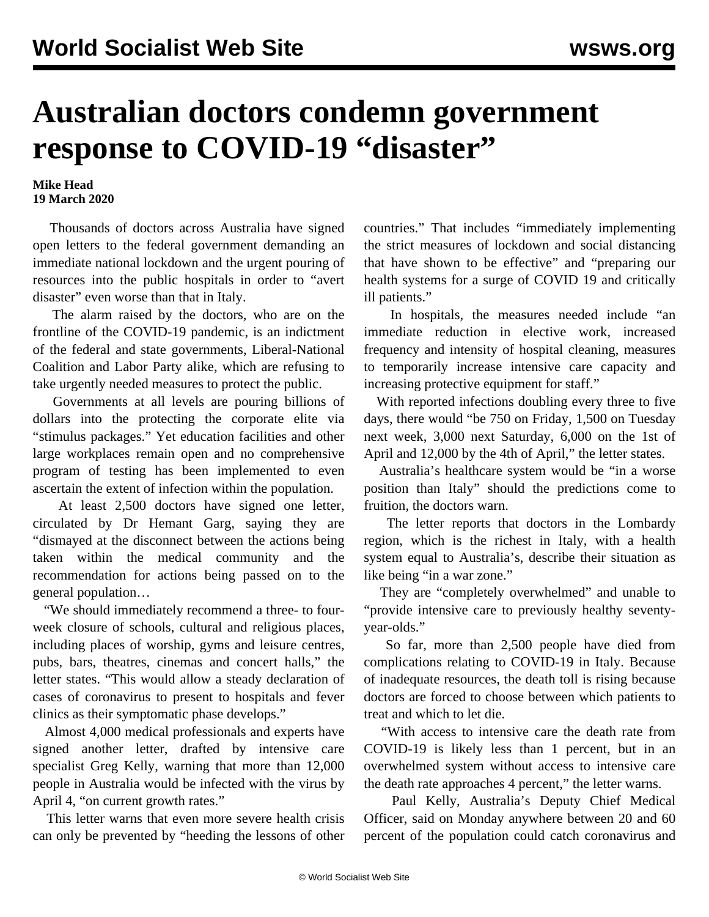## **Australian doctors condemn government response to COVID-19 "disaster"**

## **Mike Head 19 March 2020**

 Thousands of doctors across Australia have signed open letters to the federal government demanding an immediate national lockdown and the urgent pouring of resources into the public hospitals in order to "avert disaster" even worse than that in Italy.

 The alarm raised by the doctors, who are on the frontline of the COVID-19 pandemic, is an indictment of the federal and state governments, Liberal-National Coalition and Labor Party alike, which are refusing to take urgently needed measures to protect the public.

 Governments at all levels are pouring billions of dollars into the protecting the corporate elite via "stimulus packages." Yet education facilities and other large workplaces remain open and no comprehensive program of testing has been implemented to even ascertain the extent of infection within the population.

 At least 2,500 doctors have signed one letter, circulated by Dr Hemant Garg, saying they are "dismayed at the disconnect between the actions being taken within the medical community and the recommendation for actions being passed on to the general population…

 "We should immediately recommend a three- to fourweek closure of schools, cultural and religious places, including places of worship, gyms and leisure centres, pubs, bars, theatres, cinemas and concert halls," the letter states. "This would allow a steady declaration of cases of coronavirus to present to hospitals and fever clinics as their symptomatic phase develops."

 Almost 4,000 medical professionals and experts have signed another letter, drafted by intensive care specialist Greg Kelly, warning that more than 12,000 people in Australia would be infected with the virus by April 4, "on current growth rates."

 This letter warns that even more severe health crisis can only be prevented by "heeding the lessons of other countries." That includes "immediately implementing the strict measures of lockdown and social distancing that have shown to be effective" and "preparing our health systems for a surge of COVID 19 and critically ill patients."

 In hospitals, the measures needed include "an immediate reduction in elective work, increased frequency and intensity of hospital cleaning, measures to temporarily increase intensive care capacity and increasing protective equipment for staff."

 With reported infections doubling every three to five days, there would "be 750 on Friday, 1,500 on Tuesday next week, 3,000 next Saturday, 6,000 on the 1st of April and 12,000 by the 4th of April," the letter states.

 Australia's healthcare system would be "in a worse position than Italy" should the predictions come to fruition, the doctors warn.

 The letter reports that doctors in the Lombardy region, which is the richest in Italy, with a health system equal to Australia's, describe their situation as like being "in a war zone."

 They are "completely overwhelmed" and unable to "provide intensive care to previously healthy seventyyear-olds."

 So far, more than 2,500 people have died from complications relating to COVID-19 in Italy. Because of inadequate resources, the death toll is rising because doctors are forced to choose between which patients to treat and which to let die.

 "With access to intensive care the death rate from COVID-19 is likely less than 1 percent, but in an overwhelmed system without access to intensive care the death rate approaches 4 percent," the letter warns.

 Paul Kelly, Australia's Deputy Chief Medical Officer, said on Monday anywhere between 20 and 60 percent of the population could catch coronavirus and